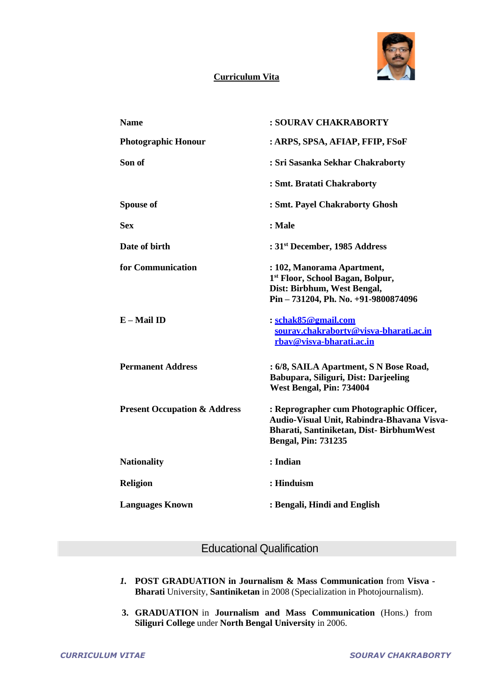

### **Curriculum Vita**

| <b>Name</b>                             | : SOURAV CHAKRABORTY                                                                                                                                            |
|-----------------------------------------|-----------------------------------------------------------------------------------------------------------------------------------------------------------------|
| <b>Photographic Honour</b>              | : ARPS, SPSA, AFIAP, FFIP, FSoF                                                                                                                                 |
| Son of                                  | : Sri Sasanka Sekhar Chakraborty                                                                                                                                |
|                                         | : Smt. Bratati Chakraborty                                                                                                                                      |
| <b>Spouse of</b>                        | : Smt. Payel Chakraborty Ghosh                                                                                                                                  |
| <b>Sex</b>                              | : Male                                                                                                                                                          |
| Date of birth                           | : 31 <sup>st</sup> December, 1985 Address                                                                                                                       |
| for Communication                       | : 102, Manorama Apartment,<br>1 <sup>st</sup> Floor, School Bagan, Bolpur,<br>Dist: Birbhum, West Bengal,<br>Pin - 731204, Ph. No. +91-9800874096               |
| E - Mail ID                             | : schak85@gmail.com<br>sourav.chakrabortv@visva-bharati.ac.in<br>rbay@visva-bharati.ac.in                                                                       |
| <b>Permanent Address</b>                | : 6/8, SAILA Apartment, S N Bose Road,<br>Babupara, Siliguri, Dist: Darjeeling<br>West Bengal, Pin: 734004                                                      |
| <b>Present Occupation &amp; Address</b> | : Reprographer cum Photographic Officer,<br>Audio-Visual Unit, Rabindra-Bhavana Visva-<br>Bharati, Santiniketan, Dist-BirbhumWest<br><b>Bengal, Pin: 731235</b> |
| <b>Nationality</b>                      | : Indian                                                                                                                                                        |
| <b>Religion</b>                         | : Hinduism                                                                                                                                                      |
| <b>Languages Known</b>                  | : Bengali, Hindi and English                                                                                                                                    |

# Educational Qualification

- *1.* **POST GRADUATION in Journalism & Mass Communication** from **Visva - Bharati** University, **Santiniketan** in 2008 (Specialization in Photojournalism).
- **3. GRADUATION** in **Journalism and Mass Communication** (Hons.) from **Siliguri College** under **North Bengal University** in 2006.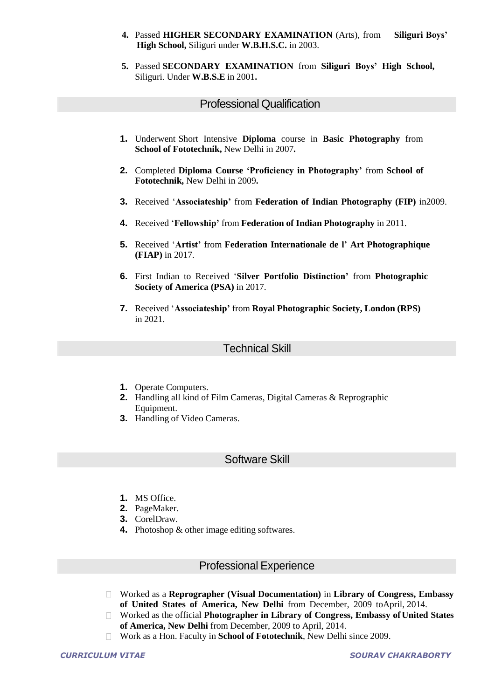- **4.** Passed **HIGHER SECONDARY EXAMINATION** (Arts), from **Siliguri Boys' High School,** Siliguri under **W.B.H.S.C.** in 2003.
- **5.** Passed **SECONDARY EXAMINATION** from **Siliguri Boys' High School,** Siliguri. Under **W.B.S.E** in 2001**.**

### Professional Qualification

- **1.** Underwent Short Intensive **Diploma** course in **Basic Photography** from **School of Fototechnik,** New Delhi in 2007**.**
- **2.** Completed **Diploma Course 'Proficiency in Photography'** from **School of Fototechnik,** New Delhi in 2009**.**
- **3.** Received '**Associateship'** from **Federation of Indian Photography (FIP)** in2009.
- **4.** Received '**Fellowship'** from **Federation of Indian Photography** in 2011.
- **5.** Received '**Artist'** from **Federation Internationale de l' Art Photographique (FIAP)** in 2017.
- **6.** First Indian to Received '**Silver Portfolio Distinction'** from **Photographic Society of America (PSA)** in 2017.
- **7.** Received '**Associateship'** from **Royal Photographic Society, London (RPS)** in 2021.

### Technical Skill

- **1.** Operate Computers.
- **2.** Handling all kind of Film Cameras, Digital Cameras & Reprographic Equipment.
- **3.** Handling of Video Cameras.

# Software Skill

- **1.** MS Office.
- **2.** PageMaker.
- **3.** CorelDraw.
- **4.** Photoshop & other image editing softwares.

#### Professional Experience

- $\Box$ Worked as a **Reprographer (Visual Documentation)** in **Library of Congress, Embassy of United States of America, New Delhi** from December, 2009 toApril, 2014.
- Worked as the official **Photographer in Library of Congress, Embassy of United States**  $\Box$ **of America, New Delhi** from December, 2009 to April, 2014.
- Work as a Hon. Faculty in **School of Fototechnik**, New Delhi since 2009.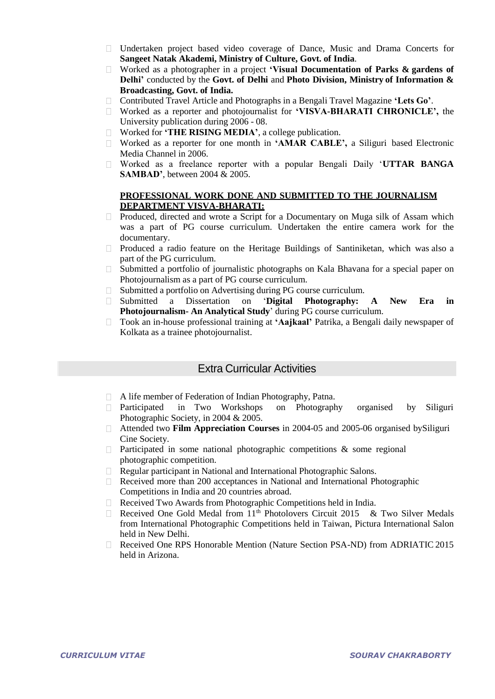- Undertaken project based video coverage of Dance, Music and Drama Concerts for **Sangeet Natak Akademi, Ministry of Culture, Govt. of India**.
- Worked as a photographer in a project **'Visual Documentation of Parks & gardens of Delhi'** conducted by the **Govt. of Delhi** and **Photo Division, Ministry of Information & Broadcasting, Govt. of India.**
- Contributed Travel Article and Photographs in a Bengali Travel Magazine **'Lets Go'**.
- Worked as a reporter and photojournalist for **'VISVA-BHARATI CHRONICLE',** the University publication during 2006 - 08.
- $\Box$ Worked for **'THE RISING MEDIA'**, a college publication.
- Worked as a reporter for one month in **'AMAR CABLE',** a Siliguri based Electronic Media Channel in 2006.
- Worked as a freelance reporter with a popular Bengali Daily '**UTTAR BANGA SAMBAD'**, between 2004 & 2005.

#### **PROFESSIONAL WORK DONE AND SUBMITTED TO THE JOURNALISM DEPARTMENT VISVA-BHARATI:**

- $\Box$  Produced, directed and wrote a Script for a Documentary on Muga silk of Assam which was a part of PG course curriculum. Undertaken the entire camera work for the documentary.
- Produced a radio feature on the Heritage Buildings of Santiniketan, which was also a part of the PG curriculum.
- $\Box$ Submitted a portfolio of journalistic photographs on Kala Bhavana for a special paper on Photojournalism as a part of PG course curriculum.
- Submitted a portfolio on Advertising during PG course curriculum. П.
- Submitted a Dissertation on '**Digital Photography: A New Era in Photojournalism- An Analytical Study**' during PG course curriculum.
- Took an in-house professional training at **'Aajkaal'** Patrika, a Bengali daily newspaper of  $\Box$ Kolkata as a trainee photojournalist.

## Extra Curricular Activities

- A life member of Federation of Indian Photography, Patna.
- Participated in Two Workshops on Photography organised by Siliguri Photographic Society, in 2004 & 2005.
- Attended two **Film Appreciation Courses** in 2004-05 and 2005-06 organised bySiliguri  $\Box$ Cine Society.
- Participated in some national photographic competitions & some regional  $\Box$ photographic competition.
- $\Box$ Regular participant in National and International Photographic Salons.
- Received more than 200 acceptances in National and International Photographic  $\Box$ Competitions in India and 20 countries abroad.
- Received Two Awards from Photographic Competitions held in India.  $\Box$
- Received One Gold Medal from 11<sup>th</sup> Photolovers Circuit 2015 & Two Silver Medals  $\Box$ from International Photographic Competitions held in Taiwan, Pictura International Salon held in New Delhi.
- Received One RPS Honorable Mention (Nature Section PSA-ND) from ADRIATIC 2015 held in Arizona.